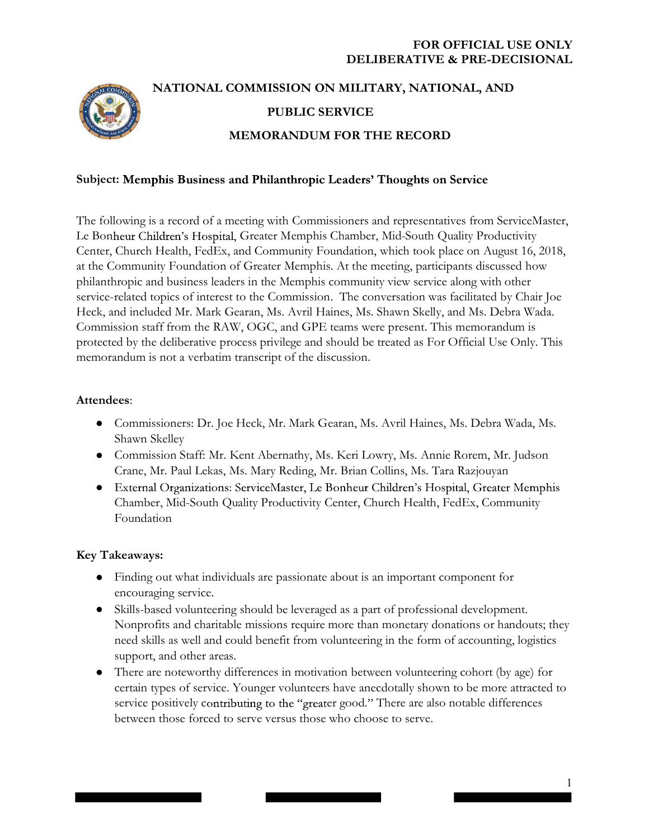

# NATIONAL COMMISSION ON MILITARY, NATIONAL, AND PUBLIC SERVICE MEMORANDUM FOR THE RECORD

## Subject: Memphis Business and Philanthropic Leaders' Thoughts on Service

The following is a record of a meeting with Commissioners and representatives from ServiceMaster, Le Bonheur Children's Hospital, Greater Memphis Chamber, Mid-South Quality Productivity Center, Church Health, FedEx, and Community Foundation, which took place on August 16, 2018, at the Community Foundation of Greater Memphis. At the meeting, participants discussed how philanthropic and business leaders in the Memphis community view service along with other service-related topics of interest to the Commission. The conversation was facilitated by Chair Joe Heck, and included Mr. Mark Gearan, Ms. Avril Haines, Ms. Shawn Skelly, and Ms. Debra Wada. Commission staff from the RAW, OGC, and GPE teams were present. This memorandum is protected by the deliberative process privilege and should be treated as For Official Use Only. This memorandum is not a verbatim transcript of the discussion.

#### Attendees:

- Commissioners: Dr. Joe Heck, Mr. Mark Gearan, Ms. Avril Haines, Ms. Debra Wada, Ms. Shawn Skelley
- Commission Staff: Mr. Kent Abernathy, Ms. Keri Lowry, Ms. Annie Rorem, Mr. Judson Crane, Mr. Paul Lekas, Ms. Mary Reding, Mr. Brian Collins, Ms. Tara Razjouyan
- External Organizations: ServiceMaster, Le Bonheur Children's Hospital, Greater Memphis Chamber, Mid-South Quality Productivity Center, Church Health, FedEx, Community Foundation

# Key Takeaways:

- Finding out what individuals are passionate about is an important component for encouraging service.
- Skills-based volunteering should be leveraged as a part of professional development. Nonprofits and charitable missions require more than monetary donations or handouts; they need skills as well and could benefit from volunteering in the form of accounting, logistics support, and other areas.
- There are noteworthy differences in motivation between volunteering cohort (by age) for certain types of service. Younger volunteers have anecdotally shown to be more attracted to service positively contributing to the "greater good." There are also notable differences between those forced to serve versus those who choose to serve.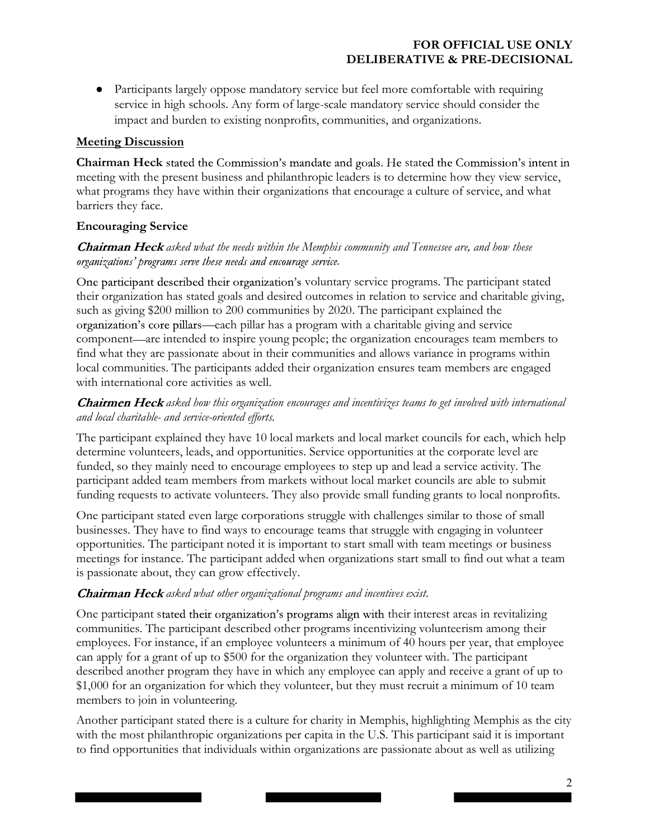Participants largely oppose mandatory service but feel more comfortable with requiring service in high schools. Any form of large-scale mandatory service should consider the impact and burden to existing nonprofits, communities, and organizations.

# Meeting Discussion

Chairman Heck stated the Commission's mandate and goals. He stated the Commission's intent in meeting with the present business and philanthropic leaders is to determine how they view service, what programs they have within their organizations that encourage a culture of service, and what barriers they face.

# Encouraging Service

## **Chairman Heck** asked what the needs within the Memphis community and Tennessee are, and how these organizations' programs serve these needs and encourage service.

One participant described their organization's voluntary service programs. The participant stated their organization has stated goals and desired outcomes in relation to service and charitable giving, such as giving \$200 million to 200 communities by 2020. The participant explained the organization's core pillars—each pillar has a program with a charitable giving and service component—are intended to inspire young people; the organization encourages team members to find what they are passionate about in their communities and allows variance in programs within local communities. The participants added their organization ensures team members are engaged with international core activities as well.

## Chairmen Heck asked how this organization encourages and incentivizes teams to get involved with international and local charitable- and service-oriented efforts.

The participant explained they have 10 local markets and local market councils for each, which help determine volunteers, leads, and opportunities. Service opportunities at the corporate level are funded, so they mainly need to encourage employees to step up and lead a service activity. The participant added team members from markets without local market councils are able to submit funding requests to activate volunteers. They also provide small funding grants to local nonprofits.

One participant stated even large corporations struggle with challenges similar to those of small businesses. They have to find ways to encourage teams that struggle with engaging in volunteer opportunities. The participant noted it is important to start small with team meetings or business meetings for instance. The participant added when organizations start small to find out what a team is passionate about, they can grow effectively.

# Chairman Heck asked what other organizational programs and incentives exist.

One participant stated their organization's programs align with their interest areas in revitalizing communities. The participant described other programs incentivizing volunteerism among their employees. For instance, if an employee volunteers a minimum of 40 hours per year, that employee can apply for a grant of up to \$500 for the organization they volunteer with. The participant described another program they have in which any employee can apply and receive a grant of up to \$1,000 for an organization for which they volunteer, but they must recruit a minimum of 10 team members to join in volunteering.

Another participant stated there is a culture for charity in Memphis, highlighting Memphis as the city with the most philanthropic organizations per capita in the U.S. This participant said it is important to find opportunities that individuals within organizations are passionate about as well as utilizing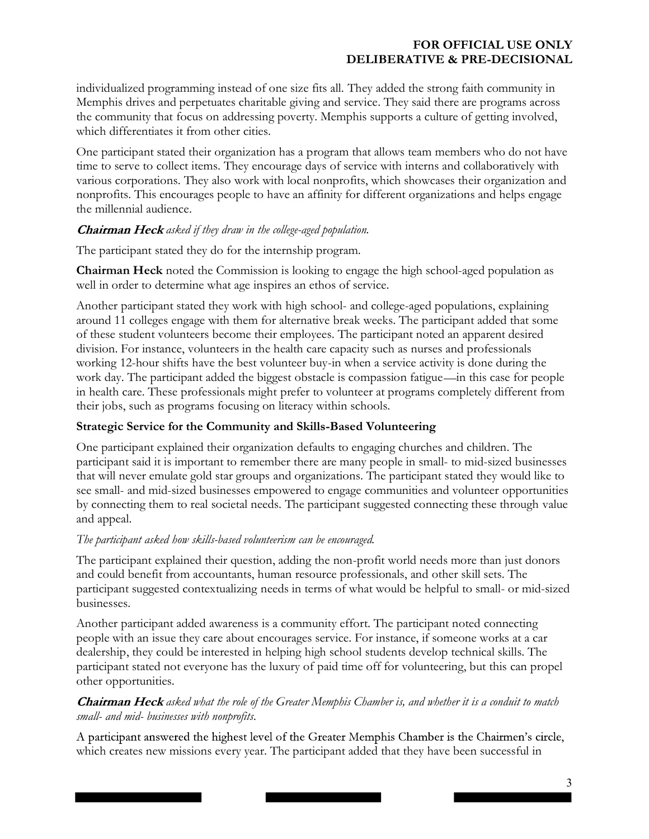individualized programming instead of one size fits all. They added the strong faith community in Memphis drives and perpetuates charitable giving and service. They said there are programs across the community that focus on addressing poverty. Memphis supports a culture of getting involved, which differentiates it from other cities.

One participant stated their organization has a program that allows team members who do not have time to serve to collect items. They encourage days of service with interns and collaboratively with various corporations. They also work with local nonprofits, which showcases their organization and nonprofits. This encourages people to have an affinity for different organizations and helps engage the millennial audience.

#### **Chairman Heck** asked if they draw in the college-aged population.

The participant stated they do for the internship program.

Chairman Heck noted the Commission is looking to engage the high school-aged population as well in order to determine what age inspires an ethos of service.

Another participant stated they work with high school- and college-aged populations, explaining around 11 colleges engage with them for alternative break weeks. The participant added that some of these student volunteers become their employees. The participant noted an apparent desired division. For instance, volunteers in the health care capacity such as nurses and professionals working 12-hour shifts have the best volunteer buy-in when a service activity is done during the work day. The participant added the biggest obstacle is compassion fatigue—in this case for people in health care. These professionals might prefer to volunteer at programs completely different from their jobs, such as programs focusing on literacy within schools.

#### Strategic Service for the Community and Skills-Based Volunteering

One participant explained their organization defaults to engaging churches and children. The participant said it is important to remember there are many people in small- to mid-sized businesses that will never emulate gold star groups and organizations. The participant stated they would like to see small- and mid-sized businesses empowered to engage communities and volunteer opportunities by connecting them to real societal needs. The participant suggested connecting these through value and appeal.

#### The participant asked how skills-based volunteerism can be encouraged.

The participant explained their question, adding the non-profit world needs more than just donors and could benefit from accountants, human resource professionals, and other skill sets. The participant suggested contextualizing needs in terms of what would be helpful to small- or mid-sized businesses.

Another participant added awareness is a community effort. The participant noted connecting people with an issue they care about encourages service. For instance, if someone works at a car dealership, they could be interested in helping high school students develop technical skills. The participant stated not everyone has the luxury of paid time off for volunteering, but this can propel other opportunities.

## **Chairman Heck** asked what the role of the Greater Memphis Chamber is, and whether it is a conduit to match small- and mid- businesses with nonprofits.

A participant answered the highest level of the Greater Memphis Chamber is the Chairmen's circle, which creates new missions every year. The participant added that they have been successful in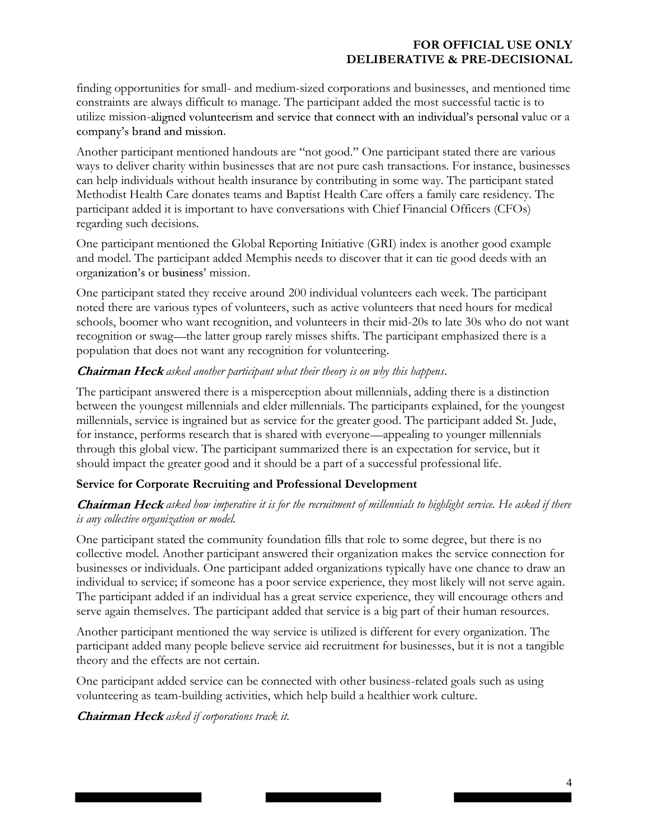finding opportunities for small- and medium-sized corporations and businesses, and mentioned time constraints are always difficult to manage. The participant added the most successful tactic is to utilize mission-aligned volunteerism and service that connect with an individual's personal value or a company's brand and mission.

Another participant mentioned handouts are "not good." One participant stated there are various ways to deliver charity within businesses that are not pure cash transactions. For instance, businesses can help individuals without health insurance by contributing in some way. The participant stated Methodist Health Care donates teams and Baptist Health Care offers a family care residency. The participant added it is important to have conversations with Chief Financial Officers (CFOs) regarding such decisions.

One participant mentioned the Global Reporting Initiative (GRI) index is another good example and model. The participant added Memphis needs to discover that it can tie good deeds with an organization's or business' mission.

One participant stated they receive around 200 individual volunteers each week. The participant noted there are various types of volunteers, such as active volunteers that need hours for medical schools, boomer who want recognition, and volunteers in their mid-20s to late 30s who do not want recognition or swag—the latter group rarely misses shifts. The participant emphasized there is a population that does not want any recognition for volunteering.

#### **Chairman Heck** asked another participant what their theory is on why this happens.

The participant answered there is a misperception about millennials, adding there is a distinction between the youngest millennials and elder millennials. The participants explained, for the youngest millennials, service is ingrained but as service for the greater good. The participant added St. Jude, for instance, performs research that is shared with everyone—appealing to younger millennials through this global view. The participant summarized there is an expectation for service, but it should impact the greater good and it should be a part of a successful professional life.

# Service for Corporate Recruiting and Professional Development

## **Chairman Heck** asked how imperative it is for the recruitment of millennials to highlight service. He asked if there is any collective organization or model.

One participant stated the community foundation fills that role to some degree, but there is no collective model. Another participant answered their organization makes the service connection for businesses or individuals. One participant added organizations typically have one chance to draw an individual to service; if someone has a poor service experience, they most likely will not serve again. The participant added if an individual has a great service experience, they will encourage others and serve again themselves. The participant added that service is a big part of their human resources.

Another participant mentioned the way service is utilized is different for every organization. The participant added many people believe service aid recruitment for businesses, but it is not a tangible theory and the effects are not certain.

One participant added service can be connected with other business-related goals such as using volunteering as team-building activities, which help build a healthier work culture.

**Chairman Heck** asked if corporations track it.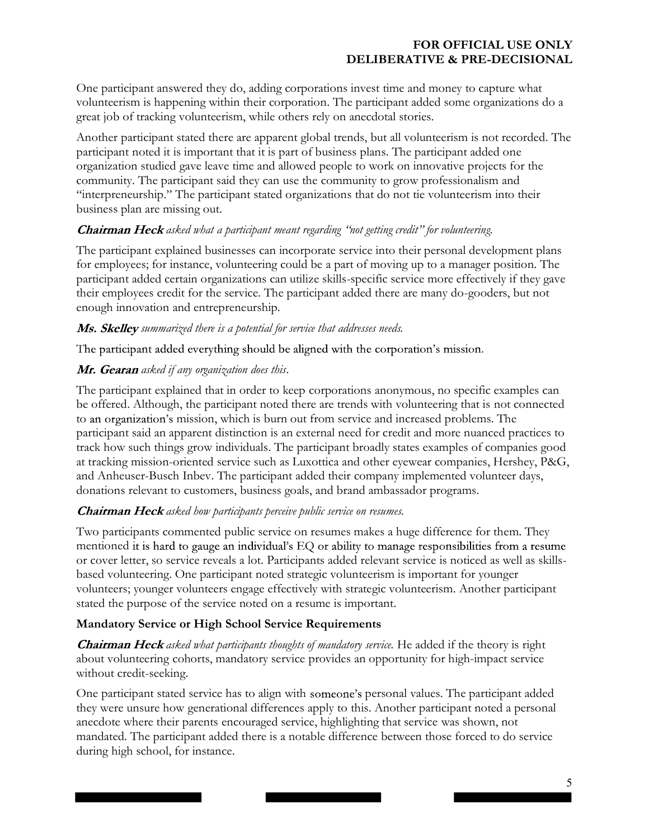One participant answered they do, adding corporations invest time and money to capture what volunteerism is happening within their corporation. The participant added some organizations do a great job of tracking volunteerism, while others rely on anecdotal stories.

Another participant stated there are apparent global trends, but all volunteerism is not recorded. The participant noted it is important that it is part of business plans. The participant added one organization studied gave leave time and allowed people to work on innovative projects for the community. The participant said they can use the community to grow professionalism and "interpreneurship." The participant stated organizations that do not tie volunteerism into their business plan are missing out.

## **Chairman Heck** asked what a participant meant regarding "not getting credit" for volunteering.

The participant explained businesses can incorporate service into their personal development plans for employees; for instance, volunteering could be a part of moving up to a manager position. The participant added certain organizations can utilize skills-specific service more effectively if they gave their employees credit for the service. The participant added there are many do-gooders, but not enough innovation and entrepreneurship.

#### Ms. Skelley summarized there is a potential for service that addresses needs.

The participant added everything should be aligned with the corporation's mission.

# Mr. Gearan asked if any organization does this.

The participant explained that in order to keep corporations anonymous, no specific examples can be offered. Although, the participant noted there are trends with volunteering that is not connected to an organization's mission, which is burn out from service and increased problems. The participant said an apparent distinction is an external need for credit and more nuanced practices to track how such things grow individuals. The participant broadly states examples of companies good at tracking mission-oriented service such as Luxottica and other eyewear companies, Hershey, P&G, and Anheuser-Busch Inbev. The participant added their company implemented volunteer days, donations relevant to customers, business goals, and brand ambassador programs.

# **Chairman Heck** asked how participants perceive public service on resumes.

Two participants commented public service on resumes makes a huge difference for them. They mentioned it is hard to gauge an individual's EQ or ability to manage responsibilities from a resume or cover letter, so service reveals a lot. Participants added relevant service is noticed as well as skillsbased volunteering. One participant noted strategic volunteerism is important for younger volunteers; younger volunteers engage effectively with strategic volunteerism. Another participant stated the purpose of the service noted on a resume is important.

# Mandatory Service or High School Service Requirements

**Chairman Heck** asked what participants thoughts of mandatory service. He added if the theory is right about volunteering cohorts, mandatory service provides an opportunity for high-impact service without credit-seeking.

One participant stated service has to align with someone's personal values. The participant added they were unsure how generational differences apply to this. Another participant noted a personal anecdote where their parents encouraged service, highlighting that service was shown, not mandated. The participant added there is a notable difference between those forced to do service during high school, for instance.